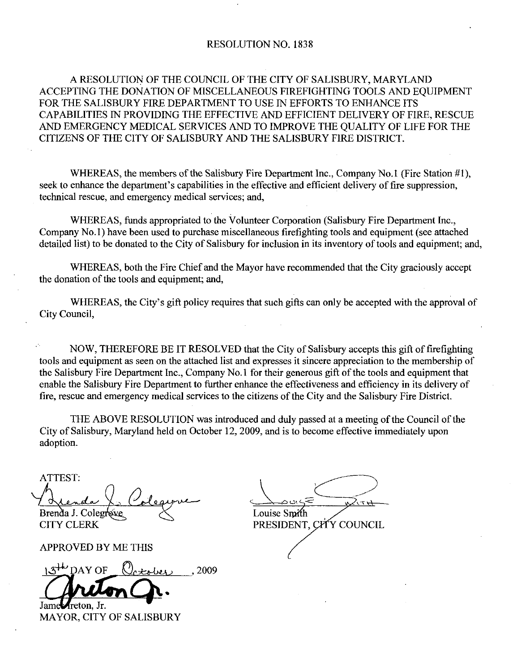### RESOLUTION NO. 1838

## A RESOLUTION OF THE COUNCIL OF THE CITY OF SALISBURY, MARYLAND ACCEPTING THE DONATION OF MISCELLANEOUS FIREFIGHTING TOOLS AND EQUIPMENT FOR THE SALISBURY FIRE DEPARTMENT TO USE IN EFFORTS TO ENHANCE ITS CAPABILITIES IN PROVIDING THE EFFECTIVE AND EFFICIENT DELIVERY OF FIRE, RESCUE AND EMERGENCY MEDICAL SERVICES AND TO IMPROVE THE QUALITY OF LIFE FOR THE CITIZENS OF THE CITY OF SALISBURY AND THE SALISBURY FIRE DISTRICT A RESOLUTION OF THE COUNCIL OF THE CITY OF SALISBURY, MARYLAND<br>TING THE DONATION OF MISCELLANEOUS FIREFIGHTING TOOLS AND EQUIPMENT<br>HE SALISBURY FIRE DEPARTMENT TO USE IN EFFORTS TO ENHANCE ITS<br>BILITIES IN PROVIDING THE EFF FOR THE SALISBURY FIRE DEPARTMENT TO USE IN EFFURTS TO ENHANCE ITS<br>CAPABILITIES IN PROVIDING THE EFFECTIVE AND EFFICIENT DELIVERY OF FIRE, RESO<br>AND EMERGENCY MEDICAL SERVICES AND TO IMPROVE THE QUALITY OF LIFE FOR T<br>CITIZE

technical rescue, and emergency medical services; and,

WHEREAS, funds appropriated to the Volunteer Corporation (Salisbury Fire Department Inc., WHERE<br>seek to enhance<br>technical rescue<br>WHERE<br>Company No.1)<br>detailed list) to l Company No.1) have been used to purchase miscellaneous firefighting tools and equipment (see attached detailed list) to be donated to the City of Salisbury for inclusion in its inventory of tools and equipment; and,

WHEREAS, both the Fire Chief and the Mayor have recommended that the City graciously accept the donation of the tools and equipment; and,

WHEREAS, the City's gift policy requires that such gifts can only be accepted with the approval of City Council

NOW, THEREFORE BE IT RESOLVED that the City of Salisbury accepts this gift of firefighting tools and equipment as seen on the attached list and expresses it sincere appreciation to the membership of the Salisbury Fire Department Inc., Company No.1 for their generous gift of the tools and equipment that WHEREAS, both the Fire Chief and the Mayor have recommended that the City graciously accepted the donation of the tools and equipment; and,<br>WHEREAS, the City's gift policy requires that such gifts can only be accepted with enable the Salisbury Fire Department to further enhance the effectiveness and efficiency in its delivery of fire, rescue and emergency medical services to the citizens of the City and the Salisbury Fire District.

THE ABOVE RESOLUTION was introduced and duly passed at ameeting of the Council of the City of Salisbury, Maryland held on October 12, 2009, and is to become effective immediately upon adoption

ATTEST ta Is Cole Brenda J. Colegrove  $\sqrt{2}$ 

APPROVED BY ME THIS<br> $13^{4\omega}$  DAY OF  $Q_{\text{c} \neq \text{c} \text{}}$  2009

Jame*Areton*. Jr. MAYOR, CITY OF SALISBURY

Louise Smith CITY CLERK PRESIDENT, CITY COUNCIL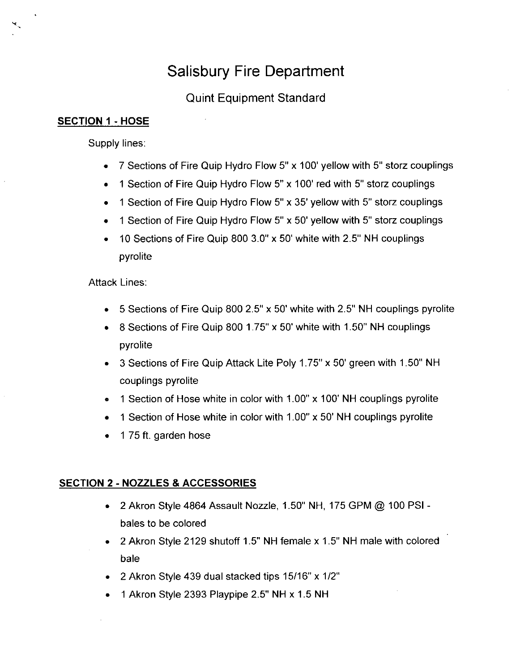## Salisbury Fire Department

### Quint Equipment Standard

### SECTION 1 - HOSE

Y

Supply lines:

- 7 Sections of Fire Quip Hydro Flow 5" x 100' yellow with 5" storz couplings
- 1 Section of Fire Quip Hydro Flow 5" x 100' red with 5" storz couplings  $\bullet$
- 1 Section of Fire Quip Hydro Flow 5" x 35' yellow with 5" storz couplings  $\bullet$
- 1 Section of Fire Quip Hydro Flow 5" x 50' yellow with 5" storz couplings  $\bullet$
- 10 Sections of Fire Quip 800  $3.0''$  x 50' white with 2.5" NH couplings  $\bullet$ pyrolite

**Attack Lines:** 

- 5 Sections of Fire Quip 800 2.5" x 50' white with 2.5" NH couplings pyrolite
- 5 Sections of Fire Quip 800 2.5" x 50' white with 2.5" NH couplings py<br>8 Sections of Fire Quip 800 1.75" x 50' white with 1.50" NH couplings pyrolite
- 3 Sections of Fire Quip Attack Lite Poly 1.75" x 50' green with 1.50" NH couplings pyrolite couplings pyrolite<br>1 Section of Hose white in color with 1.00" x 100' NH couplings pyrolite
- 1 Section of Hose white in color with 1.00" x 100' NH couplings pyrolit<br>1 Section of Hose white in color with 1.00" x 50' NH couplings pyrolite
- 
- 1 75 ft. garden hose  $\bullet$

### SECTION 2 - NOZZLES & ACCESSORIES

- $\bullet$  2 Akron Style 4864 Assault Nozzle, 1.50" NH, 175 GPM @ 100 PSI bales to be colored
- $\bullet$  2 Akron Style 2129 shutoff 1.5" NH female x 1.5" NH male with colored bale
- 2 Akron Style 439 dual stacked tips  $15/16$ " x  $1/2$ "
- $\bullet$  1 Akron Style 2393 Playpipe 2.5" NH x 1.5 NH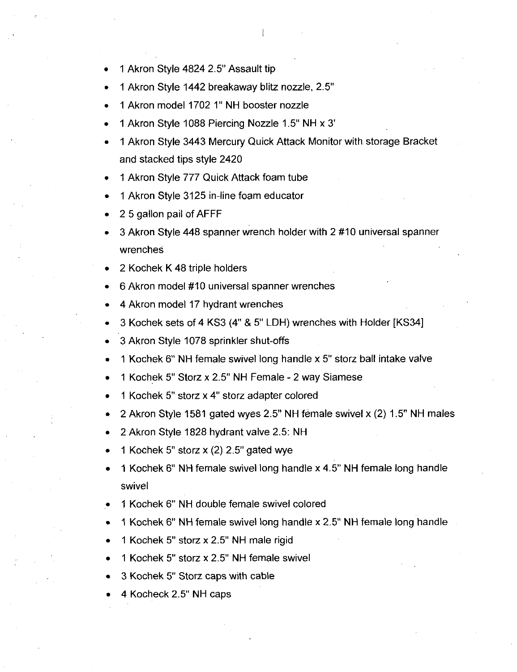- 1 Akron Style 4824 2.5" Assault tip
- 1 Akron Style 1442 breakaway blitz nozzle, 2.5"
- 1 Akron model 1702 1" NH booster nozzle
- 1 Akron Style 1088 Piercing Nozzle 1.5" NH x 3"
- <sup>1</sup> Akron Style 3443 Mercury Quick Attack Monitor with storage Bracket and stacked tips style 2420
- 1 Akron Style 777 Quick Attack foam tube<br>1 Akron Style 3125 in-line foam educator
- 
- 2 5 gallon pail of AFFF
- 3 Akron Style 448 spanner wrench holder with 2 #10 universal spanner wrenches
- 2 Kochek K 48 triple holders
- 6 Akron model #10 universal spanner wrenches
- 4 Akran model 17 hydrant wrenches
- 3 Kochek sets of 4 KS3 (4" & 5" LDH) wrenches with Holder [KS34]
- 3 Akron Style 1078 sprinkler shut-offs
- 1 Kochek 6" NH female swivel long handle x 5" storz ball intake valve
- 1 Kochek 5" Storz x 2.5" NH Female 2 way Siamese
- 1 Kochek 5" storz x 4" storz adapter colored
- 2 Akron Style 1581 gated wyes 2.5" NH fémale swivel x (2) 1.5" NH males
- 2 Akron Style 1828 hydrant valve 2.5: NH
- 2 Akron Style 1828 hydrant valve 2.5:<br>1 Kochek 5" storz x (2) 2.5" gated wye
- 1 Kochek 6" NH female swivel long handle x 4.5" NH female long handle swivel
- 1 Kochek 6" NH double female swivel colored
- 1 Kochek 6" NH female swivel long handle x 2.5" NH female long handle
- 1 Kochek 5" storz x 2.5" NH male rigid
- 1 Kochek 5" storz x 2.5" NH female swivel
- 3 Kochek 5" Storz caps with cable<br>4 Kocheck 2.5" NH caps
-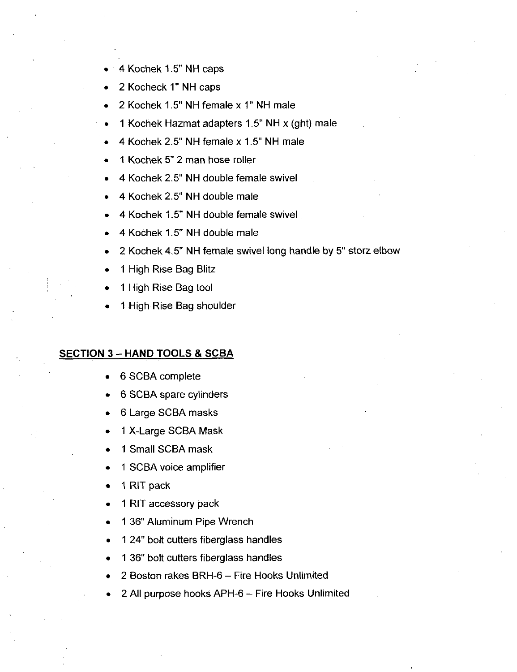- 4 Kochek 1.5" NH caps
- 2 Kocheck 1" NH caps
- 2 Kochek 1.5" NH female x 1" NH male
- 2 Rochek 1.5 NH lemale x 1 NH male<br>1 Kochek Hazmat adapters 1.5" NH x (ght) male 1 Kochek Hazmat adapters 1.5" NH x (gł<br>4 Kochek 2.5" NH female x 1.5" NH male
- 4 Kochek 2.5" NH female x 1.5" NH male<br>1 Kochek 5" 2 man hose roller
- 
- 4 Kochek 2.5" NH double female swivel
- 4 Kochek 2.5" NH double male
- 4 Kochek 1.5" NH double female swivel
- 4 Kochek 1.5" NH double male
- 2 Kochek 4.5" NH female swivel long handle by 5" storz elbow
- <sup>1</sup> High Rise Bag Blitz
- <sup>1</sup> High Rise Bag tool
- <sup>1</sup> High Rise Bag shoulder

### **SECTION 3 - HAND TOOLS & SCBA**

- 6 SCBA complete
- 6 SCBA spare cylinders
- 6 Large SCBA masks  $\bullet$
- 1 X-Large SCBA Mask
- <sup>1</sup> Small SCBA mask
- <sup>1</sup> SCBA voice amplifier
- 1 RIT pack
- <sup>1</sup> RIT accessory pack  $\bullet$
- 1 36" Aluminum Pipe Wrench
- 1 24" bolt cutters fiberglass handles
- 1 36" bolt cutters fiberglass handles
- 2 Boston rakes BRH-6 Fire Hooks Unlimited
- 2 All purpose hooks APH-6 Fire Hooks Unlimited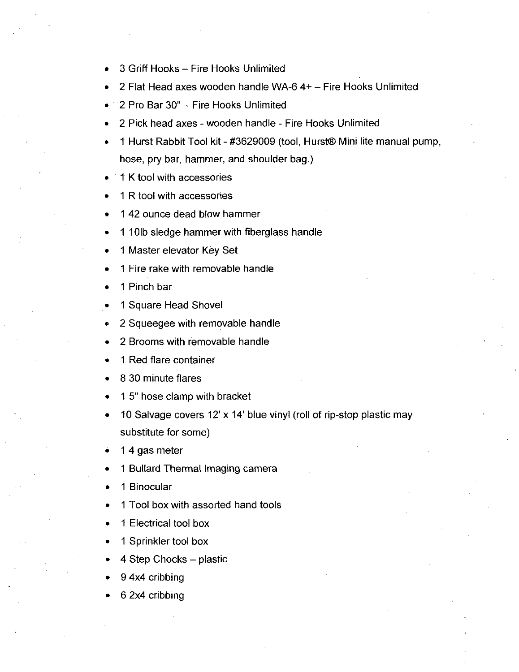- 3 Griff Hooks Fire Hooks Unlimited
- 2 Flat Head axes wooden handle WA-6  $4+$  Fire Hooks Unlimited
- $\bullet$  2 Pro Bar 30" Fire Hooks Unlimited
- 2 Pick head axes wooden handle Fire Hooks Unlimited
- 1 Hurst Rabbit Tool kit #3629009 (tool, Hurst® Mini lite manual pump, hose, pry bar, hammer, and shoulder bag.)
- K tool with accessories
- R tool with accessories
- 42 ounce dead blow hammer
- 101b sledge hammer with fiberglass handle
- Master elevator Key Set
- Fire rake with removable handle
- Pinch bar
- Square Head Shovel
- Squeegee with removable handle
- Brooms with removable handle
- Red flare container
- 30 minute flares
- 1 5" hose clamp with bracket
- 10 Salvage covers 12' x 14' blue vinyl (roll of rip-stop plastic may substitute for some
- 4 gas meter
- Bullard Thermal Imaging camera
- Binocular
- Tool box with assorted hand tools
- Electrical tool box
- Sprinkler tool box
- Step Chocks plastic
- 4x4 cribbing
- 2x4 cribbing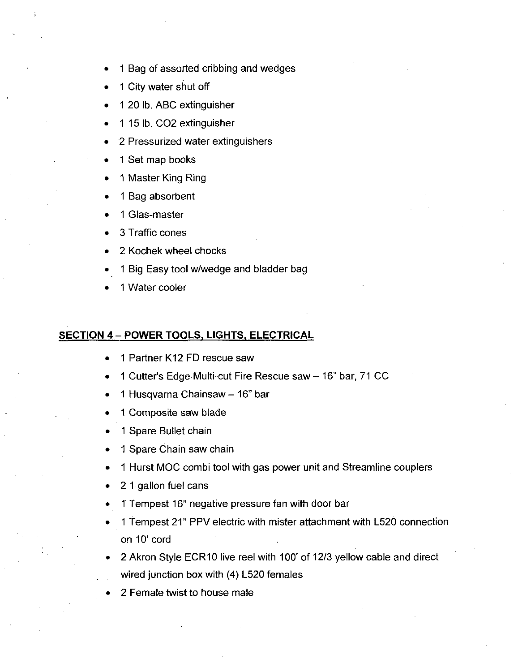- <sup>1</sup> Bag of assorted cribbing and wedges
- <sup>1</sup> City water shut off
- 1 20 lb. ABC extinguisher
- 1 15 lb. CO2 extinguisher
- 2 Pressurized water extinguishers
- <sup>1</sup> Set map books
- <sup>1</sup> Master King Ring
- <sup>1</sup> Bag absorbent
- 1 Glas-master
- 3 Traffic cones
- 2 Kochek wheel chocks
- 1 Big Easy tool w/wedge and bladder bag
- <sup>1</sup> Water cooler

# SECTION 4 - POWER TOOLS, LIGHTS, ELECTRICAL POWER<br>1 Partner<br>1 Cutter's

- <sup>1</sup> Partner K12 FD rescue saw
- 1 Cutter's Edge Multi-cut Fire Rescue saw 16" bar, 71 CC
- 1 Husqvarna Chainsaw 16" bar
- <sup>1</sup> Composite saw blade
- <sup>1</sup> Spare Bullet chain
- <sup>1</sup> Spare Chain saw chain
- <sup>1</sup> Hurst MOC combi tool with gas power unit and Streamline couplers
- 2 <sup>1</sup> gallon fuel cans  $\bullet$
- 1 Tempest 16" negative pressure fan with door bar
- 1 Tempest 21" PPV electric with mister attachment with L520 connection on 10' cord
- 2 Akron Style ECR10 live reel with 100' of 12/3 yellow cable and direct wired junction box with  $(4)$  L520 females
- 2 Female twist to house male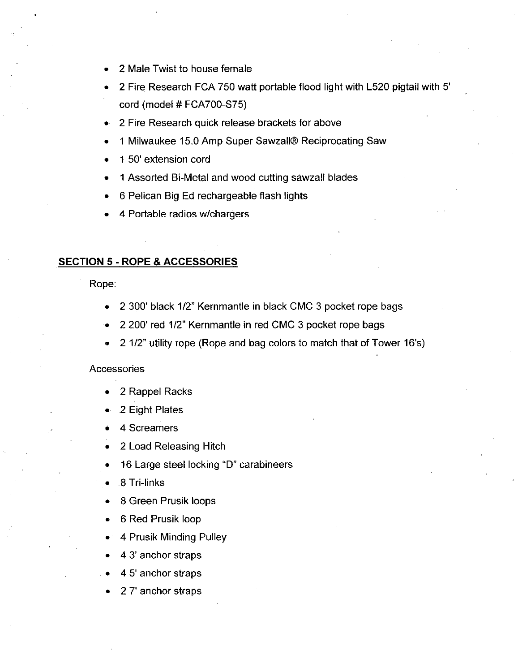- 2 Male Twist to house female
- 2 Fire Research FCA 750 watt portable flood light with L520 pigtail with 5<br>cord (model # FCA700-S75)
- 2 Fire Research quick release brackets for above
- 1 Milwaukee 15.0 Amp Super Sawzall® Reciprocating Saw
- 1 50' extension cord
- 1 50' extension cord<br>1 Assorted Bi-Metal and wood cutting sawzall blades 1 Assorted Bi-Metal and woo<br>6 Pelican Big Ed rechargeab<br>4 Portable radios w/chargers
- <sup>6</sup> Pelican Big Ed rechargeable flash lights
- 

### **SECTION 5 - ROPE & ACCESSORIES**

Rope

- $\bullet$  2 300' black 1/2" Kernmantle in black CMC 3 pocket rope bags
- 2 200' red 1/2" Kernmantle in red CMC 3 pocket rope bags
- 2 1/2" utility rope (Rope and bag colors to match that of Tower 16's)

### **Accessories**

- 2 Rappel Racks
- <sup>2</sup> Eight Plates
- 4 Screamers
- 2 Load Releasing Hitch
- 16 Large steel locking "D" carabineers
- 16 Large<br>8 Tri-links
- 8 Green Prusik loops
- 6 Red Prusik loop
- 4 Prusik Minding Pulley
- 4 3' anchor straps
- 4 5' anchor straps
- 27' anchor straps  $\bullet$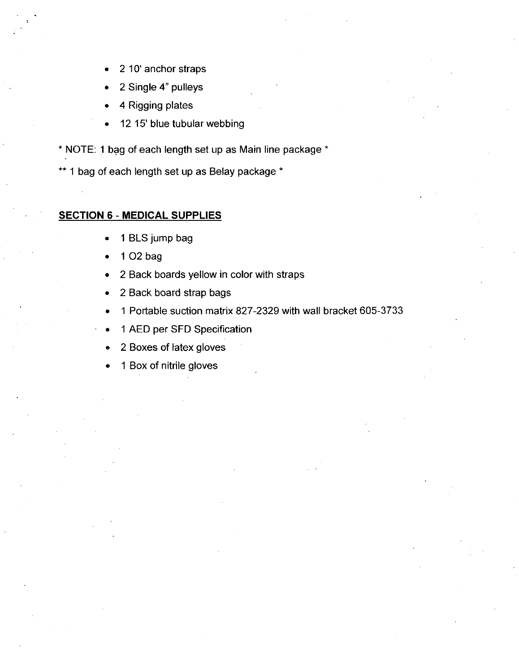- 2 10' anchor straps
- 2 Single 4" pulleys
- 4 Rigging plates
- 12 15' blue tubular webbing

\* NOTE: 1 bag of each length set up as Main line package \*

\*\* 1 bag of each length set up as Belay package \*

### **SECTION 6 - MEDICAL SUPPLIES**

- <sup>1</sup> BLS jump bag  $\bullet$
- <sup>1</sup> 02 bag
- 2 Back boards yellow in color with straps  $\bullet$
- 2 Back board strap bags  $\bullet$
- <sup>1</sup> Portable suction matrix 827 2329with wall bracket 605 3733  $\bullet$
- <sup>1</sup> AED per SFD Specification
- <sup>2</sup> Boxes of latex gloves  $\bullet$
- 1 Box of nitrile gloves